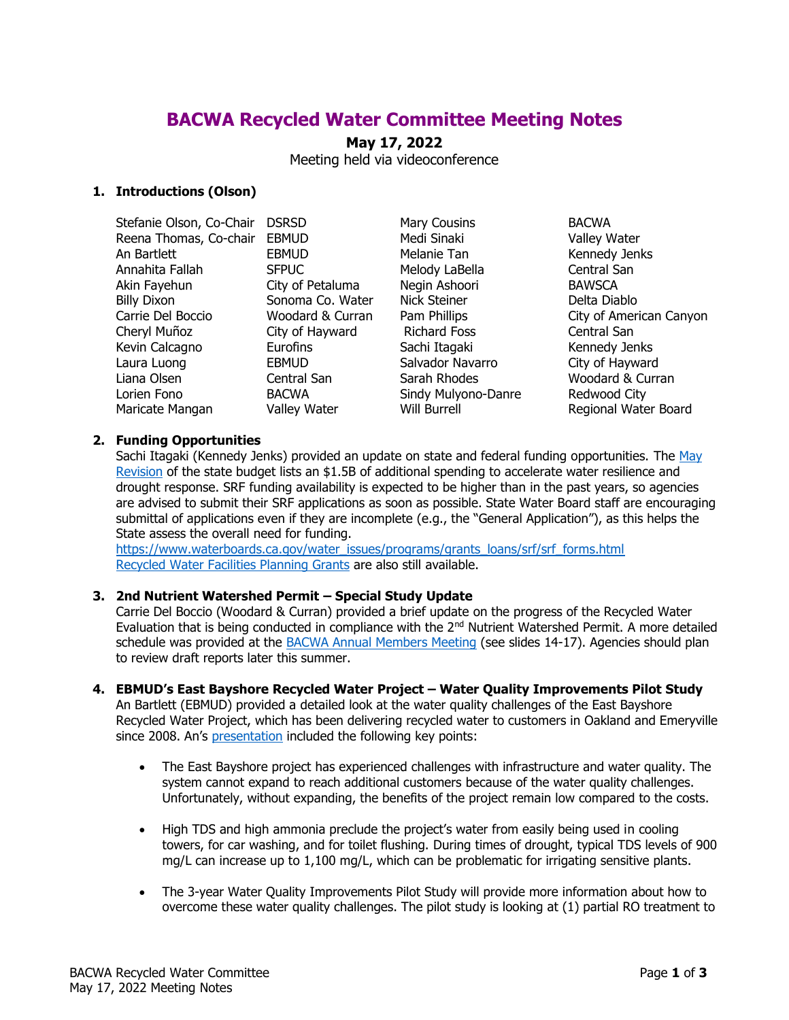# **BACWA Recycled Water Committee Meeting Notes**

# **May 17, 2022**

Meeting held via videoconference

# **1. Introductions (Olson)**

| Stefanie Olson, Co-Chair | <b>DSRSD</b>        | Mary Cousins        | <b>BACWA</b>            |
|--------------------------|---------------------|---------------------|-------------------------|
| Reena Thomas, Co-chair   | <b>EBMUD</b>        | Medi Sinaki         | Valley Water            |
| An Bartlett              | <b>EBMUD</b>        | Melanie Tan         | Kennedy Jenks           |
| Annahita Fallah          | <b>SFPUC</b>        | Melody LaBella      | Central San             |
| Akin Fayehun             | City of Petaluma    | Negin Ashoori       | <b>BAWSCA</b>           |
| <b>Billy Dixon</b>       | Sonoma Co. Water    | <b>Nick Steiner</b> | Delta Diablo            |
| Carrie Del Boccio        | Woodard & Curran    | Pam Phillips        | City of American Canyon |
| Cheryl Muñoz             | City of Hayward     | <b>Richard Foss</b> | Central San             |
| Kevin Calcagno           | Eurofins            | Sachi Itagaki       | Kennedy Jenks           |
| Laura Luong              | <b>EBMUD</b>        | Salvador Navarro    | City of Hayward         |
| Liana Olsen              | Central San         | Sarah Rhodes        | Woodard & Curran        |
| Lorien Fono              | <b>BACWA</b>        | Sindy Mulyono-Danre | Redwood City            |
| Maricate Mangan          | <b>Valley Water</b> | Will Burrell        | Regional Water Board    |

#### **2. Funding Opportunities**

Sachi Itagaki (Kennedy Jenks) provided an update on state and federal funding opportunities. The May [Revision](https://sbud.senate.ca.gov/sites/sbud.senate.ca.gov/files/Sub%202%20Agenda%20-%20May%2017.pdf) of the state budget lists an \$1.5B of additional spending to accelerate water resilience and drought response. SRF funding availability is expected to be higher than in the past years, so agencies are advised to submit their SRF applications as soon as possible. State Water Board staff are encouraging submittal of applications even if they are incomplete (e.g., the "General Application"), as this helps the State assess the overall need for funding.

[https://www.waterboards.ca.gov/water\\_issues/programs/grants\\_loans/srf/srf\\_forms.html](https://www.waterboards.ca.gov/water_issues/programs/grants_loans/srf/srf_forms.html) [Recycled Water Facilities Planning Grants](https://www.waterboards.ca.gov/water_issues/programs/grants_loans/water_recycling/facilitiesplan.html) are also still available.

#### **3. 2nd Nutrient Watershed Permit – Special Study Update**

Carrie Del Boccio (Woodard & Curran) provided a brief update on the progress of the Recycled Water Evaluation that is being conducted in compliance with the 2<sup>nd</sup> Nutrient Watershed Permit. A more detailed schedule was provided at the [BACWA Annual Members Meeting](https://bacwa.org/wp-content/uploads/2022/05/5a-HDR_BACWA_AnnualMeeting_20220506.pdf) (see slides 14-17). Agencies should plan to review draft reports later this summer.

**4. EBMUD's East Bayshore Recycled Water Project – Water Quality Improvements Pilot Study** An Bartlett (EBMUD) provided a detailed look at the water quality challenges of the East Bayshore

Recycled Water Project, which has been delivering recycled water to customers in Oakland and Emeryville since 2008. An's [presentation](https://bacwa.org/wp-content/uploads/2022/05/EBMUD-East-Bayshore-WQ-Pilot-Study-2022-05-22.pdf) included the following key points:

- The East Bayshore project has experienced challenges with infrastructure and water quality. The system cannot expand to reach additional customers because of the water quality challenges. Unfortunately, without expanding, the benefits of the project remain low compared to the costs.
- High TDS and high ammonia preclude the project's water from easily being used in cooling towers, for car washing, and for toilet flushing. During times of drought, typical TDS levels of 900 mg/L can increase up to 1,100 mg/L, which can be problematic for irrigating sensitive plants.
- The 3-year Water Quality Improvements Pilot Study will provide more information about how to overcome these water quality challenges. The pilot study is looking at (1) partial RO treatment to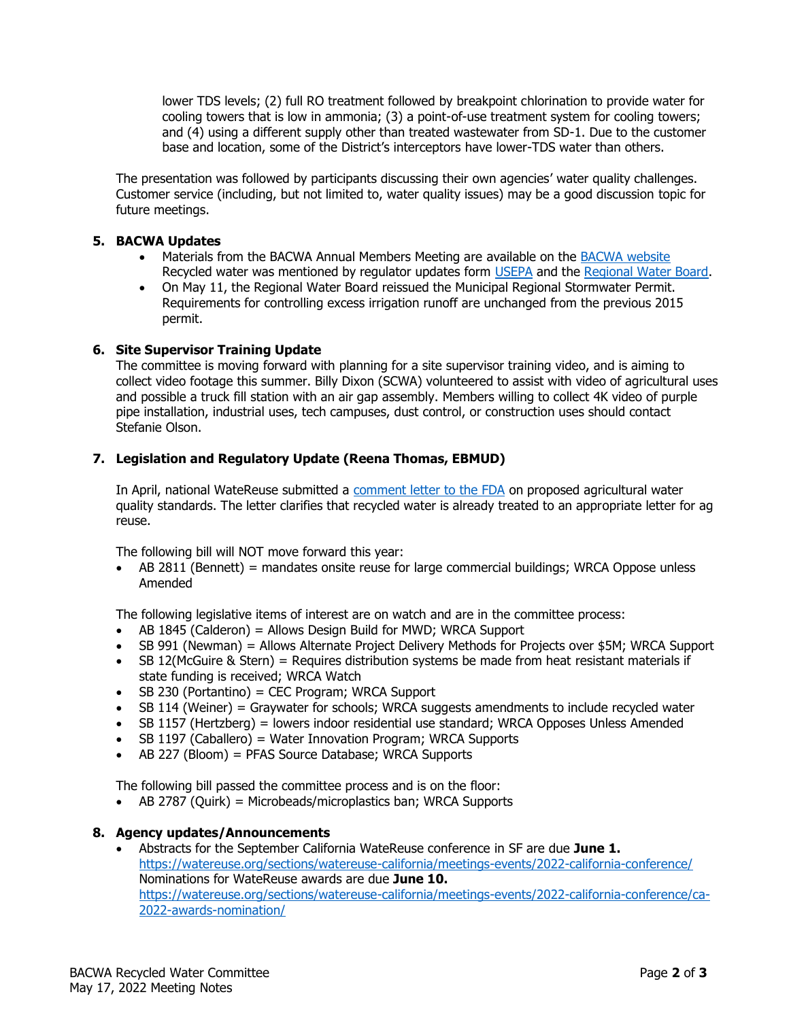lower TDS levels; (2) full RO treatment followed by breakpoint chlorination to provide water for cooling towers that is low in ammonia; (3) a point-of-use treatment system for cooling towers; and (4) using a different supply other than treated wastewater from SD-1. Due to the customer base and location, some of the District's interceptors have lower-TDS water than others.

The presentation was followed by participants discussing their own agencies' water quality challenges. Customer service (including, but not limited to, water quality issues) may be a good discussion topic for future meetings.

# **5. BACWA Updates**

- Materials from the BACWA Annual Members Meeting are available on the [BACWA website](https://bacwa.org/bacwa-annual-members-meeting-2022/) Recycled water was mentioned by regulator updates form [USEPA](https://bacwa.org/wp-content/uploads/2022/05/1b-EPA-BACWA-Annual-Mtg-May-2022_EPA.pdf) and the [Regional Water Board.](https://bacwa.org/wp-content/uploads/2022/05/1c-SFRWB-BACWA-May-22.pdf)
- On May 11, the Regional Water Board reissued the Municipal Regional Stormwater Permit. Requirements for controlling excess irrigation runoff are unchanged from the previous 2015 permit.

# **6. Site Supervisor Training Update**

The committee is moving forward with planning for a site supervisor training video, and is aiming to collect video footage this summer. Billy Dixon (SCWA) volunteered to assist with video of agricultural uses and possible a truck fill station with an air gap assembly. Members willing to collect 4K video of purple pipe installation, industrial uses, tech campuses, dust control, or construction uses should contact Stefanie Olson.

# **7. Legislation and Regulatory Update (Reena Thomas, EBMUD)**

In April, national WateReuse submitted a [comment letter to the FDA](https://bacwa.box.com/s/68cynjzfor7jgq1wubwubq7uyx96a8q8) on proposed agricultural water quality standards. The letter clarifies that recycled water is already treated to an appropriate letter for ag reuse.

The following bill will NOT move forward this year:

• AB 2811 (Bennett) = mandates onsite reuse for large commercial buildings; WRCA Oppose unless Amended

The following legislative items of interest are on watch and are in the committee process:

- AB 1845 (Calderon) = Allows Design Build for MWD; WRCA Support
- SB 991 (Newman) = Allows Alternate Project Delivery Methods for Projects over \$5M; WRCA Support
- SB 12(McGuire & Stern) = Requires distribution systems be made from heat resistant materials if state funding is received; WRCA Watch
- SB 230 (Portantino) = CEC Program; WRCA Support
- SB 114 (Weiner) = Graywater for schools; WRCA suggests amendments to include recycled water
- SB 1157 (Hertzberg) = lowers indoor residential use standard; WRCA Opposes Unless Amended
- SB 1197 (Caballero) = Water Innovation Program; WRCA Supports
- AB 227 (Bloom) = PFAS Source Database; WRCA Supports

The following bill passed the committee process and is on the floor:

• AB 2787 (Quirk) = Microbeads/microplastics ban; WRCA Supports

#### **8. Agency updates/Announcements**

• Abstracts for the September California WateReuse conference in SF are due **June 1.**  <https://watereuse.org/sections/watereuse-california/meetings-events/2022-california-conference/> Nominations for WateReuse awards are due **June 10.** [https://watereuse.org/sections/watereuse-california/meetings-events/2022-california-conference/ca-](https://watereuse.org/sections/watereuse-california/meetings-events/2022-california-conference/ca-2022-awards-nomination/)[2022-awards-nomination/](https://watereuse.org/sections/watereuse-california/meetings-events/2022-california-conference/ca-2022-awards-nomination/)